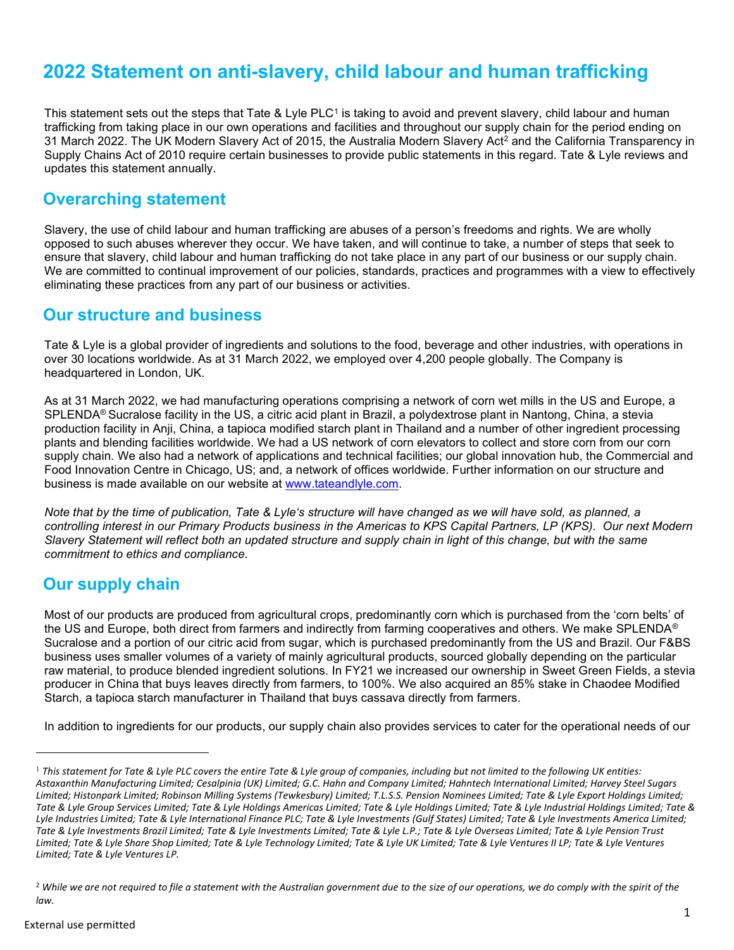# 2022 Statement on anti-slavery, child labour and human trafficking

This statement sets out the steps that Tate & Lyle PLC<sup>1</sup> is taking to avoid and prevent slavery, child labour and human trafficking from taking place in our own operations and facilities and throughout our supply chain for the period ending on 31 March 2022. The UK Modern Slavery Act of 2015, the Australia Modern Slavery Act<sup>2</sup> and the California Transparency in Supply Chains Act of 2010 require certain businesses to provide public statements in this regard. Tate & Lyle reviews and updates this statement annually.

# Overarching statement

Slavery, the use of child labour and human trafficking are abuses of a person's freedoms and rights. We are wholly opposed to such abuses wherever they occur. We have taken, and will continue to take, a number of steps that seek to ensure that slavery, child labour and human trafficking do not take place in any part of our business or our supply chain. We are committed to continual improvement of our policies, standards, practices and programmes with a view to effectively eliminating these practices from any part of our business or activities.

### Our structure and business

Tate & Lyle is a global provider of ingredients and solutions to the food, beverage and other industries, with operations in over 30 locations worldwide. As at 31 March 2022, we employed over 4,200 people globally. The Company is headquartered in London, UK.

As at 31 March 2022, we had manufacturing operations comprising a network of corn wet mills in the US and Europe, a SPLENDA® Sucralose facility in the US, a citric acid plant in Brazil, a polydextrose plant in Nantong, China, a stevia production facility in Anji, China, a tapioca modified starch plant in Thailand and a number of other ingredient processing plants and blending facilities worldwide. We had a US network of corn elevators to collect and store corn from our corn supply chain. We also had a network of applications and technical facilities; our global innovation hub, the Commercial and Food Innovation Centre in Chicago, US; and, a network of offices worldwide. Further information on our structure and business is made available on our website at www.tateandlyle.com.

Note that by the time of publication, Tate & Lyle's structure will have changed as we will have sold, as planned, a controlling interest in our Primary Products business in the Americas to KPS Capital Partners, LP (KPS). Our next Modern Slavery Statement will reflect both an updated structure and supply chain in light of this change, but with the same commitment to ethics and compliance.

# Our supply chain

Most of our products are produced from agricultural crops, predominantly corn which is purchased from the 'corn belts' of the US and Europe, both direct from farmers and indirectly from farming cooperatives and others. We make SPLENDA<sup>®</sup> Sucralose and a portion of our citric acid from sugar, which is purchased predominantly from the US and Brazil. Our F&BS business uses smaller volumes of a variety of mainly agricultural products, sourced globally depending on the particular raw material, to produce blended ingredient solutions. In FY21 we increased our ownership in Sweet Green Fields, a stevia producer in China that buys leaves directly from farmers, to 100%. We also acquired an 85% stake in Chaodee Modified Starch, a tapioca starch manufacturer in Thailand that buys cassava directly from farmers.

In addition to ingredients for our products, our supply chain also provides services to cater for the operational needs of our

 $^1$  This statement for Tate & Lyle PLC covers the entire Tate & Lyle group of companies, including but not limited to the following UK entities: Astaxanthin Manufacturing Limited; Cesalpinia (UK) Limited; G.C. Hahn and Company Limited; Hahntech International Limited; Harvey Steel Sugars Limited; Histonpark Limited; Robinson Milling Systems (Tewkesbury) Limited; T.L.S.S. Pension Nominees Limited; Tate & Lyle Export Holdings Limited; Tate & Lyle Group Services Limited; Tate & Lyle Holdings Americas Limited; Tate & Lyle Holdings Limited; Tate & Lyle Industrial Holdings Limited; Tate & Lyle Industries Limited; Tate & Lyle International Finance PLC; Tate & Lyle Investments (Gulf States) Limited; Tate & Lyle Investments America Limited; Tate & Lyle Investments Brazil Limited; Tate & Lyle Investments Limited; Tate & Lyle L.P.; Tate & Lyle Overseas Limited; Tate & Lyle Pension Trust Limited; Tate & Lyle Share Shop Limited; Tate & Lyle Technology Limited; Tate & Lyle UK Limited; Tate & Lyle Ventures II LP; Tate & Lyle Ventures Limited; Tate & Lyle Ventures LP.

<sup>&</sup>lt;sup>2</sup> While we are not required to file a statement with the Australian government due to the size of our operations, we do comply with the spirit of the law.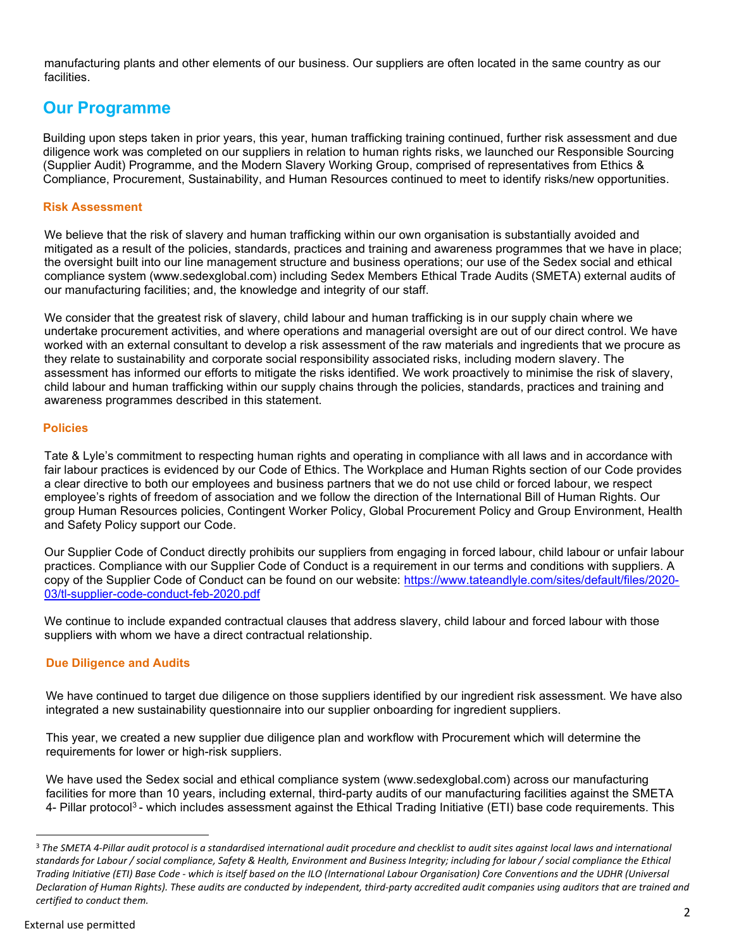manufacturing plants and other elements of our business. Our suppliers are often located in the same country as our facilities.

## Our Programme

Building upon steps taken in prior years, this year, human trafficking training continued, further risk assessment and due diligence work was completed on our suppliers in relation to human rights risks, we launched our Responsible Sourcing (Supplier Audit) Programme, and the Modern Slavery Working Group, comprised of representatives from Ethics & Compliance, Procurement, Sustainability, and Human Resources continued to meet to identify risks/new opportunities.

#### Risk Assessment

We believe that the risk of slavery and human trafficking within our own organisation is substantially avoided and mitigated as a result of the policies, standards, practices and training and awareness programmes that we have in place; the oversight built into our line management structure and business operations; our use of the Sedex social and ethical compliance system (www.sedexglobal.com) including Sedex Members Ethical Trade Audits (SMETA) external audits of our manufacturing facilities; and, the knowledge and integrity of our staff.

We consider that the greatest risk of slavery, child labour and human trafficking is in our supply chain where we undertake procurement activities, and where operations and managerial oversight are out of our direct control. We have worked with an external consultant to develop a risk assessment of the raw materials and ingredients that we procure as they relate to sustainability and corporate social responsibility associated risks, including modern slavery. The assessment has informed our efforts to mitigate the risks identified. We work proactively to minimise the risk of slavery, child labour and human trafficking within our supply chains through the policies, standards, practices and training and awareness programmes described in this statement.

#### Policies

Tate & Lyle's commitment to respecting human rights and operating in compliance with all laws and in accordance with fair labour practices is evidenced by our Code of Ethics. The Workplace and Human Rights section of our Code provides a clear directive to both our employees and business partners that we do not use child or forced labour, we respect employee's rights of freedom of association and we follow the direction of the International Bill of Human Rights. Our group Human Resources policies, Contingent Worker Policy, Global Procurement Policy and Group Environment, Health and Safety Policy support our Code.

Our Supplier Code of Conduct directly prohibits our suppliers from engaging in forced labour, child labour or unfair labour practices. Compliance with our Supplier Code of Conduct is a requirement in our terms and conditions with suppliers. A copy of the Supplier Code of Conduct can be found on our website: https://www.tateandlyle.com/sites/default/files/2020- 03/tl-supplier-code-conduct-feb-2020.pdf

We continue to include expanded contractual clauses that address slavery, child labour and forced labour with those suppliers with whom we have a direct contractual relationship.

#### Due Diligence and Audits

We have continued to target due diligence on those suppliers identified by our ingredient risk assessment. We have also integrated a new sustainability questionnaire into our supplier onboarding for ingredient suppliers.

This year, we created a new supplier due diligence plan and workflow with Procurement which will determine the requirements for lower or high-risk suppliers.

We have used the Sedex social and ethical compliance system (www.sedexglobal.com) across our manufacturing facilities for more than 10 years, including external, third-party audits of our manufacturing facilities against the SMETA 4- Pillar protocol<sup>3</sup>- which includes assessment against the Ethical Trading Initiative (ETI) base code requirements. This

<sup>&</sup>lt;sup>3</sup> The SMETA 4-Pillar audit protocol is a standardised international audit procedure and checklist to audit sites against local laws and international standards for Labour / social compliance, Safety & Health, Environment and Business Integrity; including for labour / social compliance the Ethical Trading Initiative (ETI) Base Code - which is itself based on the ILO (International Labour Organisation) Core Conventions and the UDHR (Universal Declaration of Human Rights). These audits are conducted by independent, third-party accredited audit companies using auditors that are trained and certified to conduct them.